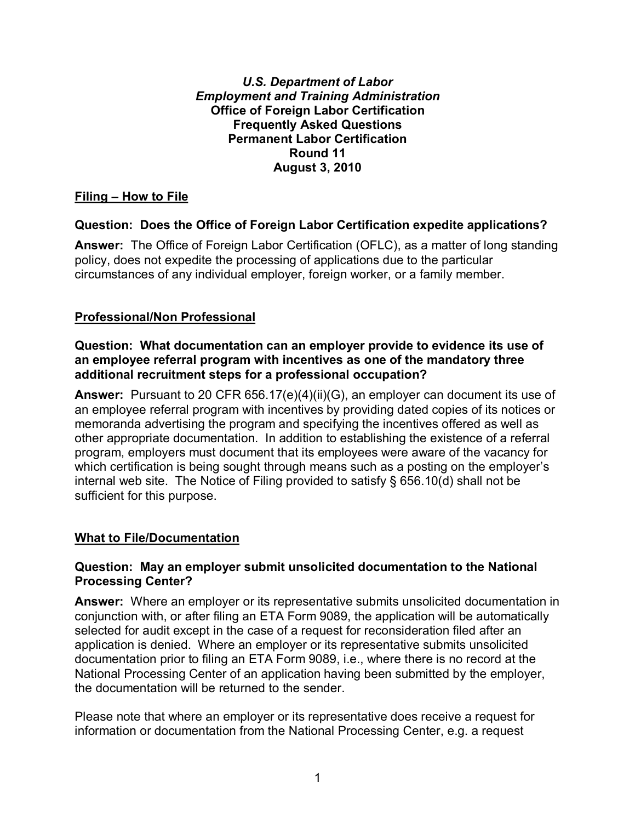#### *U.S. Department of Labor*  **Office of Foreign Labor Certification** *Employment and Training Administration* **Frequently Asked Questions Permanent Labor Certification Round 11 August 3, 2010**

# **Filing – How to File**

## **Question: Does the Office of Foreign Labor Certification expedite applications?**

 policy, does not expedite the processing of applications due to the particular **Answer:** The Office of Foreign Labor Certification (OFLC), as a matter of long standing circumstances of any individual employer, foreign worker, or a family member.

## **Professional/Non Professional**

#### **Question: What documentation can an employer provide to evidence its use of an employee referral program with incentives as one of the mandatory three additional recruitment steps for a professional occupation?**

 memoranda advertising the program and specifying the incentives offered as well as **Answer:** Pursuant to 20 CFR 656.17(e)(4)(ii)(G), an employer can document its use of an employee referral program with incentives by providing dated copies of its notices or other appropriate documentation. In addition to establishing the existence of a referral program, employers must document that its employees were aware of the vacancy for which certification is being sought through means such as a posting on the employer's internal web site. The Notice of Filing provided to satisfy § 656.10(d) shall not be sufficient for this purpose.

## **What to File/Documentation**

#### **Question: May an employer submit unsolicited documentation to the National Processing Center?**

 selected for audit except in the case of a request for reconsideration filed after an National Processing Center of an application having been submitted by the employer, **Answer:** Where an employer or its representative submits unsolicited documentation in conjunction with, or after filing an ETA Form 9089, the application will be automatically application is denied. Where an employer or its representative submits unsolicited documentation prior to filing an ETA Form 9089, i.e., where there is no record at the the documentation will be returned to the sender.

Please note that where an employer or its representative does receive a request for information or documentation from the National Processing Center, e.g. a request